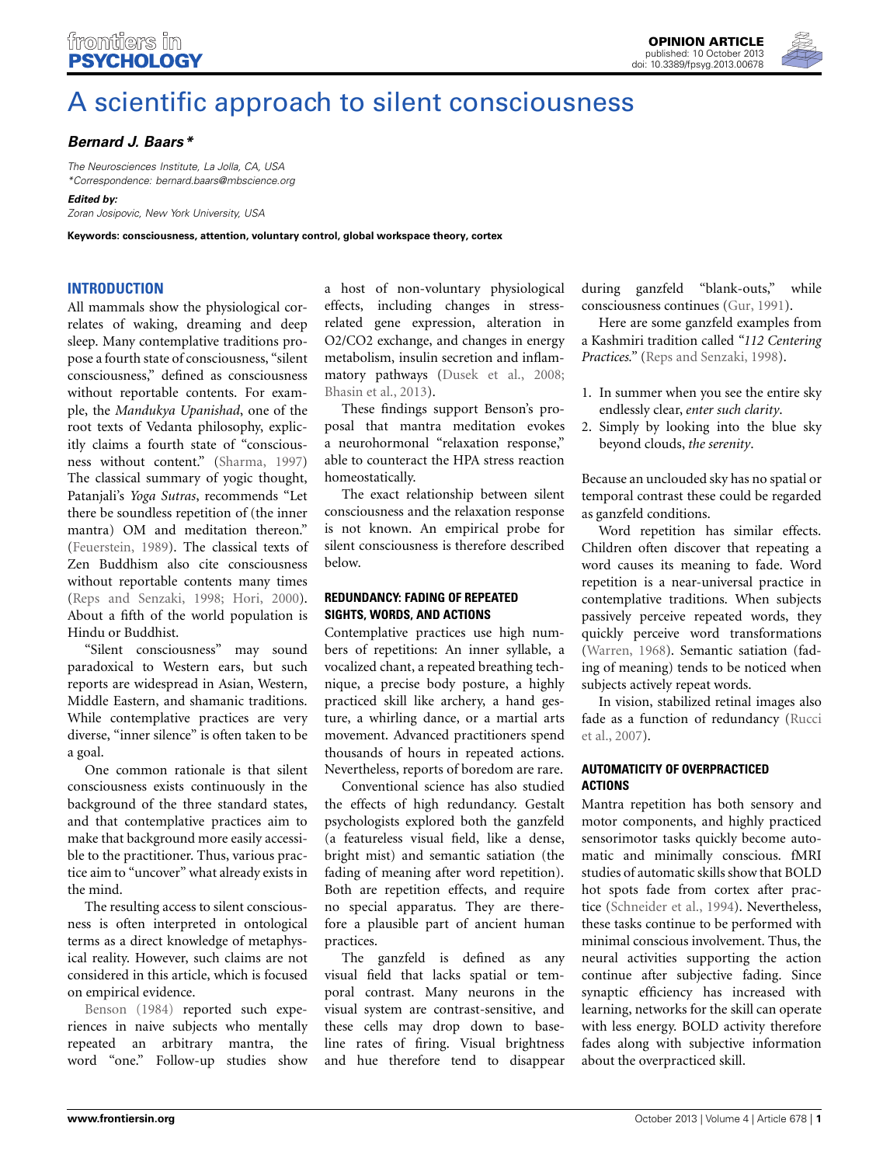

# [A scientific approach to silent consciousness](http://www.frontiersin.org/journal/10.3389/fpsyg.2013.00678/full)

# *[Bernard J. Baars\\*](http://www.frontiersin.org/Community/WhosWhoActivity.aspx?sname=BernardBaars&UID=7480)*

*The Neurosciences Institute, La Jolla, CA, USA \*Correspondence: bernard.baars@mbscience.org*

*Edited by:*

*Zoran Josipovic, New York University, USA*

**Keywords: consciousness, attention, voluntary control, global workspace theory, cortex**

## **INTRODUCTION**

All mammals show the physiological correlates of waking, dreaming and deep sleep. Many contemplative traditions propose a fourth state of consciousness, "silent consciousness," defined as consciousness without reportable contents. For example, the *Mandukya Upanishad*, one of the root texts of Vedanta philosophy, explicitly claims a fourth state of "consciousness without content." [\(Sharma, 1997](#page-2-0)) The classical summary of yogic thought, Patanjali's *Yoga Sutras*, recommends "Let there be soundless repetition of (the inner mantra) OM and meditation thereon." [\(Feuerstein, 1989\)](#page-2-1). The classical texts of Zen Buddhism also cite consciousness without reportable contents many times [\(Reps and Senzaki, 1998;](#page-2-2) [Hori, 2000](#page-2-3)). About a fifth of the world population is Hindu or Buddhist.

"Silent consciousness" may sound paradoxical to Western ears, but such reports are widespread in Asian, Western, Middle Eastern, and shamanic traditions. While contemplative practices are very diverse, "inner silence" is often taken to be a goal.

One common rationale is that silent consciousness exists continuously in the background of the three standard states, and that contemplative practices aim to make that background more easily accessible to the practitioner. Thus, various practice aim to "uncover" what already exists in the mind.

The resulting access to silent consciousness is often interpreted in ontological terms as a direct knowledge of metaphysical reality. However, such claims are not considered in this article, which is focused [on](#page-2-4) [empiric](#page-2-4)al evidence.

Benson [\(1984\)](#page-2-4) reported such experiences in naive subjects who mentally repeated an arbitrary mantra, the word "one." Follow-up studies show a host of non-voluntary physiological effects, including changes in stressrelated gene expression, alteration in O2/CO2 exchange, and changes in energy metabolism, insulin secretion and inflammatory pathways [\(Dusek et al., 2008;](#page-2-5) [Bhasin et al.](#page-2-6), [2013\)](#page-2-6).

These findings support Benson's proposal that mantra meditation evokes a neurohormonal "relaxation response," able to counteract the HPA stress reaction homeostatically.

The exact relationship between silent consciousness and the relaxation response is not known. An empirical probe for silent consciousness is therefore described below.

## **REDUNDANCY: FADING OF REPEATED SIGHTS, WORDS, AND ACTIONS**

Contemplative practices use high numbers of repetitions: An inner syllable, a vocalized chant, a repeated breathing technique, a precise body posture, a highly practiced skill like archery, a hand gesture, a whirling dance, or a martial arts movement. Advanced practitioners spend thousands of hours in repeated actions. Nevertheless, reports of boredom are rare.

Conventional science has also studied the effects of high redundancy. Gestalt psychologists explored both the ganzfeld (a featureless visual field, like a dense, bright mist) and semantic satiation (the fading of meaning after word repetition). Both are repetition effects, and require no special apparatus. They are therefore a plausible part of ancient human practices.

The ganzfeld is defined as any visual field that lacks spatial or temporal contrast. Many neurons in the visual system are contrast-sensitive, and these cells may drop down to baseline rates of firing. Visual brightness and hue therefore tend to disappear

during ganzfeld "blank-outs," while consciousness continues [\(Gur](#page-2-7), [1991\)](#page-2-7).

Here are some ganzfeld examples from a Kashmiri tradition called *"112 Centering Practices."* [\(Reps and Senzaki](#page-2-2), [1998\)](#page-2-2).

- 1. In summer when you see the entire sky endlessly clear, *enter such clarity*.
- 2. Simply by looking into the blue sky beyond clouds, *the serenity*.

Because an unclouded sky has no spatial or temporal contrast these could be regarded as ganzfeld conditions.

Word repetition has similar effects. Children often discover that repeating a word causes its meaning to fade. Word repetition is a near-universal practice in contemplative traditions. When subjects passively perceive repeated words, they quickly perceive word transformations [\(Warren](#page-2-8), [1968\)](#page-2-8). Semantic satiation (fading of meaning) tends to be noticed when subjects actively repeat words.

In vision, stabilized retinal images also fade [as a function of redundancy \(](#page-2-9)Rucci et al., [2007\)](#page-2-9).

## **AUTOMATICITY OF OVERPRACTICED ACTIONS**

Mantra repetition has both sensory and motor components, and highly practiced sensorimotor tasks quickly become automatic and minimally conscious. fMRI studies of automatic skills show that BOLD hot spots fade from cortex after practice [\(Schneider et al., 1994](#page-2-10)). Nevertheless, these tasks continue to be performed with minimal conscious involvement. Thus, the neural activities supporting the action continue after subjective fading. Since synaptic efficiency has increased with learning, networks for the skill can operate with less energy. BOLD activity therefore fades along with subjective information about the overpracticed skill.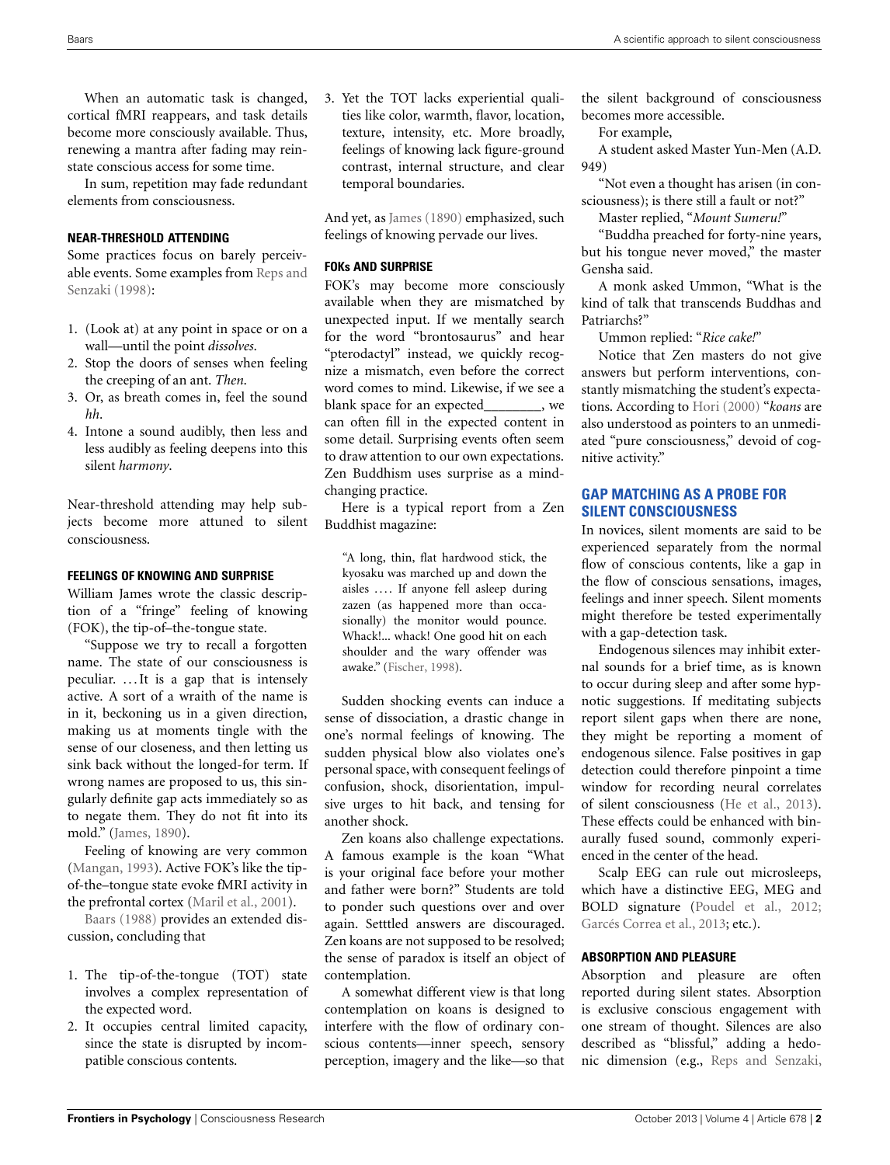When an automatic task is changed, cortical fMRI reappears, and task details become more consciously available. Thus, renewing a mantra after fading may reinstate conscious access for some time.

In sum, repetition may fade redundant elements from consciousness.

## **NEAR-THRESHOLD ATTENDING**

Some practices focus on barely perceivable ev[ents. Some examples from](#page-2-2) Reps and Senzaki [\(1998\)](#page-2-2):

- 1. (Look at) at any point in space or on a wall—until the point *dissolves*.
- 2. Stop the doors of senses when feeling the creeping of an ant. *Then*.
- 3. Or, as breath comes in, feel the sound *hh*.
- 4. Intone a sound audibly, then less and less audibly as feeling deepens into this silent *harmony*.

Near-threshold attending may help subjects become more attuned to silent consciousness.

#### **FEELINGS OF KNOWING AND SURPRISE**

William James wrote the classic description of a "fringe" feeling of knowing (FOK), the tip-of–the-tongue state.

"Suppose we try to recall a forgotten name. The state of our consciousness is peculiar. . . . It is a gap that is intensely active. A sort of a wraith of the name is in it, beckoning us in a given direction, making us at moments tingle with the sense of our closeness, and then letting us sink back without the longed-for term. If wrong names are proposed to us, this singularly definite gap acts immediately so as to negate them. They do not fit into its mold." [\(James, 1890](#page-2-11)).

Feeling of knowing are very common [\(Mangan](#page-2-12), [1993\)](#page-2-12). Active FOK's like the tipof-the–tongue state evoke fMRI activity in [the](#page-2-14) [prefr](#page-2-14)ontal cortex [\(Maril et al., 2001\)](#page-2-13).

Baars [\(1988\)](#page-2-14) provides an extended discussion, concluding that

- 1. The tip-of-the-tongue (TOT) state involves a complex representation of the expected word.
- 2. It occupies central limited capacity, since the state is disrupted by incompatible conscious contents.

3. Yet the TOT lacks experiential qualities like color, warmth, flavor, location, texture, intensity, etc. More broadly, feelings of knowing lack figure-ground contrast, internal structure, and clear temporal boundaries.

And yet, as [James](#page-2-11) [\(1890\)](#page-2-11) emphasized, such feelings of knowing pervade our lives.

#### **FOKs AND SURPRISE**

FOK's may become more consciously available when they are mismatched by unexpected input. If we mentally search for the word "brontosaurus" and hear "pterodactyl" instead, we quickly recognize a mismatch, even before the correct word comes to mind. Likewise, if we see a blank space for an expected\_\_\_\_\_\_\_\_, we can often fill in the expected content in some detail. Surprising events often seem to draw attention to our own expectations. Zen Buddhism uses surprise as a mindchanging practice.

Here is a typical report from a Zen Buddhist magazine:

"A long, thin, flat hardwood stick, the kyosaku was marched up and down the aisles .... If anyone fell asleep during zazen (as happened more than occasionally) the monitor would pounce. Whack!... whack! One good hit on each shoulder and the wary offender was awake." [\(Fischer, 1998](#page-2-15)).

Sudden shocking events can induce a sense of dissociation, a drastic change in one's normal feelings of knowing. The sudden physical blow also violates one's personal space, with consequent feelings of confusion, shock, disorientation, impulsive urges to hit back, and tensing for another shock.

Zen koans also challenge expectations. A famous example is the koan "What is your original face before your mother and father were born?" Students are told to ponder such questions over and over again. Setttled answers are discouraged. Zen koans are not supposed to be resolved; the sense of paradox is itself an object of contemplation.

A somewhat different view is that long contemplation on koans is designed to interfere with the flow of ordinary conscious contents—inner speech, sensory perception, imagery and the like—so that

the silent background of consciousness becomes more accessible.

For example,

A student asked Master Yun-Men (A.D. 949)

"Not even a thought has arisen (in consciousness); is there still a fault or not?"

Master replied, "*Mount Sumeru!*"

"Buddha preached for forty-nine years, but his tongue never moved," the master Gensha said.

A monk asked Ummon, "What is the kind of talk that transcends Buddhas and Patriarchs?"

Ummon replied: "*Rice cake!*"

Notice that Zen masters do not give answers but perform interventions, constantly mismatching the student's expectations. According to [Hori](#page-2-3) [\(2000](#page-2-3)) "*koans* are also understood as pointers to an unmediated "pure consciousness," devoid of cognitive activity."

## **GAP MATCHING AS A PROBE FOR SILENT CONSCIOUSNESS**

In novices, silent moments are said to be experienced separately from the normal flow of conscious contents, like a gap in the flow of conscious sensations, images, feelings and inner speech. Silent moments might therefore be tested experimentally with a gap-detection task.

Endogenous silences may inhibit external sounds for a brief time, as is known to occur during sleep and after some hypnotic suggestions. If meditating subjects report silent gaps when there are none, they might be reporting a moment of endogenous silence. False positives in gap detection could therefore pinpoint a time window for recording neural correlates of silent consciousness [\(He et al., 2013\)](#page-2-16). These effects could be enhanced with binaurally fused sound, commonly experienced in the center of the head.

Scalp EEG can rule out microsleeps, which have a distinctive EEG, MEG and BOLD signature [\(Poudel et al.](#page-2-17), [2012;](#page-2-17) [Garcés Correa et al.](#page-2-18), [2013;](#page-2-18) etc.).

#### **ABSORPTION AND PLEASURE**

Absorption and pleasure are often reported during silent states. Absorption is exclusive conscious engagement with one stream of thought. Silences are also described as "blissful," adding a hedonic dimension (e.g., [Reps and Senzaki,](#page-2-2)